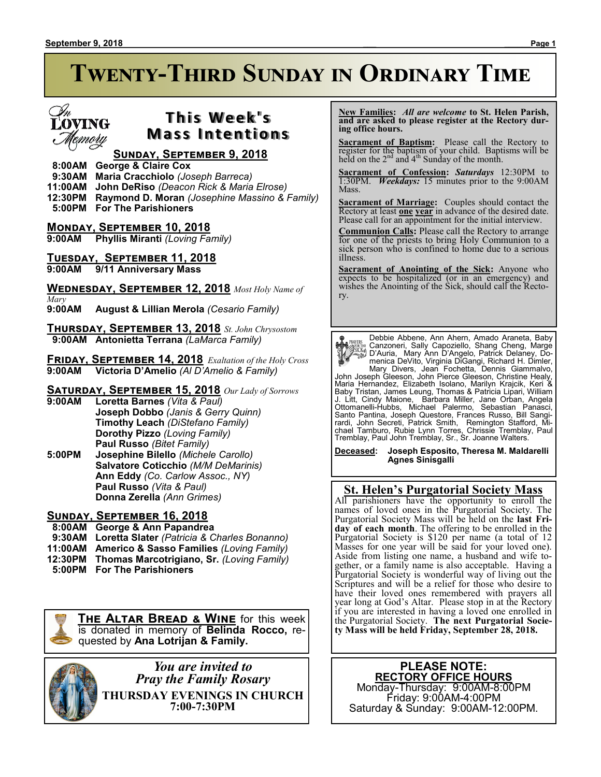# **Twenty-Third Sunday in Ordinary Time**

## **LOVING** smoru

### **T h i s We e k ' s Mass Intentions**

### **Sunday, September 9, 2018**

 **8:00AM George & Claire Cox**

 **9:30AM Maria Cracchiolo** *(Joseph Barreca)*

**11:00AM John DeRiso** *(Deacon Rick & Maria Elrose)*

**12:30PM Raymond D. Moran** *(Josephine Massino & Family)*

 **5:00PM For The Parishioners**

**Monday, September 10, 2018 9:00AM Phyllis Miranti** *(Loving Family)*

**Tuesday, September 11, 2018**

**9:00AM 9/11 Anniversary Mass**

**Wednesday, September 12, 2018** *Most Holy Name of Mary*

**9:00AM August & Lillian Merola** *(Cesario Family)*

**Thursday, September 13, 2018** *St. John Chrysostom*  **9:00AM Antonietta Terrana** *(LaMarca Family)*

**Friday, September 14, 2018** *Exaltation of the Holy Cross*  **9:00AM Victoria D'Amelio** *(Al D'Amelio & Family)*

**Saturday, September 15, 2018** *Our Lady of Sorrows*

**9:00AM Loretta Barnes** *(Vita & Paul)* **Joseph Dobbo** *(Janis & Gerry Quinn)* **Timothy Leach** *(DiStefano Family)* **Dorothy Pizzo** *(Loving Family)* **Paul Russo** *(Bitet Family)*

**5:00PM Josephine Bilello** *(Michele Carollo)* **Salvatore Coticchio** *(M/M DeMarinis)* **Ann Eddy** *(Co. Carlow Assoc., NY)* **Paul Russo** *(Vita & Paul)* **Donna Zerella** *(Ann Grimes)*

### **Sunday, September 16, 2018**

- **8:00AM George & Ann Papandrea**
- **9:30AM Loretta Slater** *(Patricia & Charles Bonanno)*
- **11:00AM Americo & Sasso Families** *(Loving Family)*
- **12:30PM Thomas Marcotrigiano, Sr.** *(Loving Family)*
- **5:00PM For The Parishioners**

**The Altar Bread & Wine** for this week is donated in memory of **Belinda Rocco,** requested by **Ana Lotrijan & Family.**

> *You are invited to Pray the Family Rosary* **THURSDAY EVENINGS IN CHURCH 7:00-7:30PM**

 **New Families:** *All are welcome* **to St. Helen Parish, and are asked to please register at the Rectory during office hours.**

**Sacrament of Baptism:**Please call the Rectory to register for the baptism of your child. Baptisms will be held on the  $2<sup>nd</sup>$  and  $4<sup>th</sup>$  Sunday of the month.

**Sacrament of Confession:** *Saturdays* 12:30PM to 1:30PM. *Weekdays:* 15 minutes prior to the 9:00AM Mass.

**Sacrament of Marriage:**Couples should contact the Rectory at least **one year** in advance of the desired date. Please call for an appointment for the initial interview.

**Communion Calls:** Please call the Rectory to arrange for one of the priests to bring Holy Communion to a sick person who is confined to home due to a serious illness.

**Sacrament of Anointing of the Sick:** Anyone who expects to be hospitalized (or in an emergency) and wishes the Anointing of the Sick, should call the Rectory.

**Paysis** Debbie Abbene, Ann Ahern, Amado Araneta, Baby<br>
Canzoneri, Sally Capoziello, Shang Cheng, Marge<br>
Canzoneri, Sally Capoziello, Shang Cheng, Marge<br>
Canzoneri, Sally Capoziello, Patrick Delaney, Do-<br>
menica DeVito, Vi

**Deceased: Joseph Esposito, Theresa M. Maldarelli Agnes Sinisgalli**

### **St. Helen's Purgatorial Society Mass**

All parishioners have the opportunity to enroll the names of loved ones in the Purgatorial Society. The Purgatorial Society Mass will be held on the **last Friday of each month**. The offering to be enrolled in the Purgatorial Society is \$120 per name (a total of 12 Masses for one year will be said for your loved one). Aside from listing one name, a husband and wife together, or a family name is also acceptable. Having a Purgatorial Society is wonderful way of living out the Scriptures and will be a relief for those who desire to have their loved ones remembered with prayers all year long at God's Altar. Please stop in at the Rectory if you are interested in having a loved one enrolled in the Purgatorial Society. **The next Purgatorial Society Mass will be held Friday, September 28, 2018.**

> **PLEASE NOTE: RECTORY OFFICE HOURS** Monday-Thursday: 9:00AM-8:00PM Friday: 9:00AM-4:00PM

Saturday & Sunday: 9:00AM-12:00PM.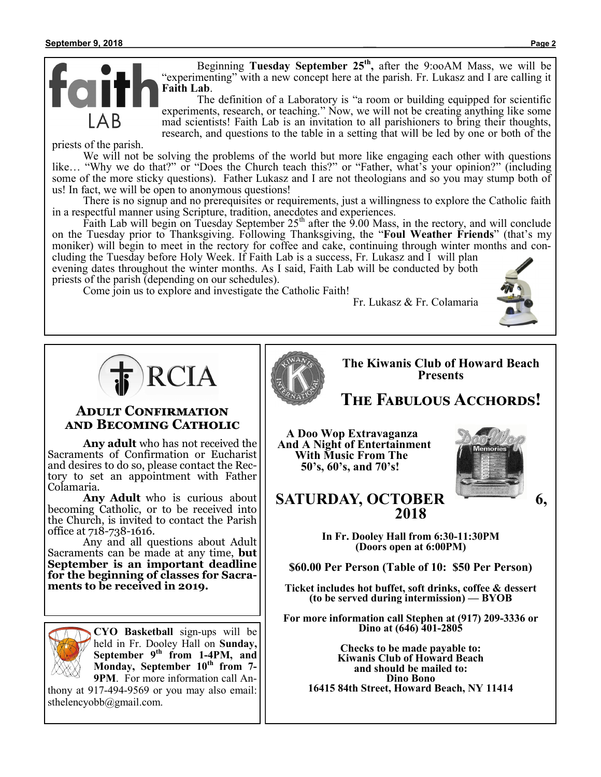Beginning **Tuesday September 25th ,** after the 9:ooAM Mass, we will be "experimenting" with a new concept here at the parish. Fr. Lukasz and I are calling it **Faith Lab**.

The definition of a Laboratory is "a room or building equipped for scientific experiments, research, or teaching." Now, we will not be creating anything like some mad scientists! Faith Lab is an invitation to all parishioners to bring their thoughts, research, and questions to the table in a setting that will be led by one or both of the

priests of the parish.

We will not be solving the problems of the world but more like engaging each other with questions like… "Why we do that?" or "Does the Church teach this?" or "Father, what's your opinion?" (including some of the more sticky questions). Father Lukasz and I are not theologians and so you may stump both of us! In fact, we will be open to anonymous questions!

There is no signup and no prerequisites or requirements, just a willingness to explore the Catholic faith in a respectful manner using Scripture, tradition, anecdotes and experiences.

Faith Lab will begin on Tuesday September  $25<sup>th</sup>$  after the 9.00 Mass, in the rectory, and will conclude on the Tuesday prior to Thanksgiving. Following Thanksgiving, the "**Foul Weather Friends**" (that's my moniker) will begin to meet in the rectory for coffee and cake, continuing through winter months and concluding the Tuesday before Holy Week. If Faith Lab is a success, Fr. Lukasz and I will plan

evening dates throughout the winter months. As I said, Faith Lab will be conducted by both priests of the parish (depending on our schedules).

Come join us to explore and investigate the Catholic Faith!

Fr. Lukasz & Fr. Colamaria





### **Adult Confirmation and Becoming Catholic**

**Any adult** who has not received the Sacraments of Confirmation or Eucharist and desires to do so, please contact the Rectory to set an appointment with Father Colamaria.

**Any Adult** who is curious about becoming Catholic, or to be received into the Church, is invited to contact the Parish office at 718-738-1616.

Any and all questions about Adult Sacraments can be made at any time, **but September is an important deadline for the beginning of classes for Sacraments to be received in 2019.** 



**CYO Basketball** sign-ups will be held in Fr. Dooley Hall on **Sunday, September 9th from 1-4PM, and Monday, September 10th from 7- 9PM**. For more information call An-

thony at 917-494-9569 or you may also email: sthelencyobb@gmail.com.

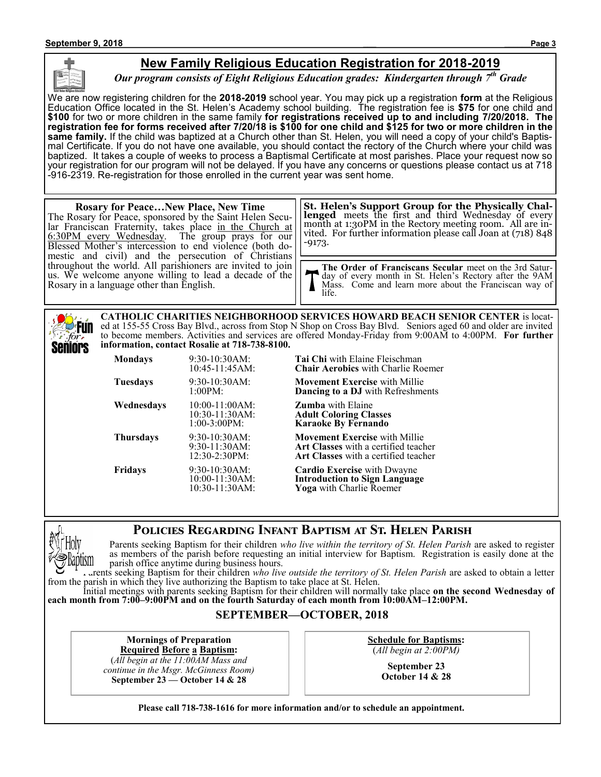### **New Family Religious Education Registration for 2018-2019**

*Our program consists of Eight Religious Education grades: Kindergarten through 7th Grade*

We are now registering children for the **2018-2019** school year. You may pick up a registration **form** at the Religious Education Office located in the St. Helen's Academy school building. The registration fee is **\$75** for one child and **\$100** for two or more children in the same family **for registrations received up to and including 7/20/2018. The registration fee for forms received after 7/20/18 is \$100 for one child and \$125 for two or more children in the same family.** If the child was baptized at a Church other than St. Helen, you will need a copy of your child's Baptismal Certificate. If you do not have one available, you should contact the rectory of the Church where your child was baptized. It takes a couple of weeks to process a Baptismal Certificate at most parishes. Place your request now so your registration for our program will not be delayed. If you have any concerns or questions please contact us at 718 -916-2319. Re-registration for those enrolled in the current year was sent home.

| <b>Rosary for PeaceNew Place, New Time</b><br>The Rosary for Peace, sponsored by the Saint Helen Secu-<br>Iar Franciscan Fraternity, takes place in the Church at<br>6:30PM every Wednesday. The group prays for our<br>Blessed Mother's intercession to end violence (both do-<br>mestic and civil) and the persecution of Christians<br>throughout the world. All parishioners are invited to join<br>us. We welcome anyone willing to lead a decade of the<br>Rosary in a language other than English. | <b>St. Helen's Support Group for the Physically Chal-</b><br>lenged meets the first and third Wednesday of every<br>month at 1:30PM in the Rectory meeting room. All are in-<br>vited. For further information please call Joan at (718) 848<br>-9173. |
|-----------------------------------------------------------------------------------------------------------------------------------------------------------------------------------------------------------------------------------------------------------------------------------------------------------------------------------------------------------------------------------------------------------------------------------------------------------------------------------------------------------|--------------------------------------------------------------------------------------------------------------------------------------------------------------------------------------------------------------------------------------------------------|
|                                                                                                                                                                                                                                                                                                                                                                                                                                                                                                           | The Order of Franciscans Secular meet on the 3rd Satur-<br>T day of every month in St. Helen's Rectory after the 9AM<br>Mass. Come and learn more about the Franciscan way of<br>life.                                                                 |

**CATHOLIC CHARITIES NEIGHBORHOOD SERVICES HOWARD BEACH SENIOR CENTER** is located at 155-55 Cross Bay Blvd., across from Stop N Shop on Cross Bay Blvd. Seniors aged 60 and older are invited to become members. Activities and services are offered Monday-Friday from 9:00AM to 4:00PM. **For further information, contact Rosalie at 718-738-8100.** Seniors

| <b>Mondays</b>   | 9:30-10:30AM:<br>$10:45-11:45AM$ :                        | <b>Tai Chi</b> with Elaine Fleischman<br><b>Chair Aerobics</b> with Charlie Ro                                                 |
|------------------|-----------------------------------------------------------|--------------------------------------------------------------------------------------------------------------------------------|
| Tuesdays         | $9:30-10:30AM$ :<br>1:00PM:                               | <b>Movement Exercise</b> with Millie<br><b>Dancing to a DJ</b> with Refreshme                                                  |
| Wednesdays       | $10:00-11:00AM$ :<br>$10:30-11:30AM$ :<br>$1:00-3:00PM$ : | <b>Zumba</b> with Elaine<br><b>Adult Coloring Classes</b><br><b>Karaoke By Fernando</b>                                        |
| <b>Thursdays</b> | $9:30-10:30AM$ :<br>$9:30-11:30AM$ :<br>12:30-2:30PM:     | <b>Movement Exercise</b> with Millie<br><b>Art Classes</b> with a certified teach<br><b>Art Classes</b> with a certified teach |
| <b>Fridays</b>   | 9:30-10:30AM:<br>$10:00-11:30AM$ :<br>$10:30-11:30AM$ :   | <b>Cardio Exercise</b> with Dwayne<br><b>Introduction to Sign Language</b><br><b>Yoga</b> with Charlie Roemer                  |

with Charlie Roemer

**J** with Refreshments

9:30-11:30AM: **Art Classes** with a certified teacher h a certified teacher

 $Sign Language$ lie Roemer<sup>.</sup>

### **Policies Regarding Infant Baptism at St. Helen Parish**



Parents seeking Baptism for their children *who live within the territory of St. Helen Parish* are asked to register as members of the parish before requesting an initial interview for Baptism. Registration is easily done at the parish office anytime during business hours.

Parents seeking Baptism for their children *who live outside the territory of St. Helen Parish* are asked to obtain a letter from the parish in which they live authorizing the Baptism to take place at St. Helen.

Initial meetings with parents seeking Baptism for their children will normally take place **on the second Wednesday of each month from 7:00–9:00PM and on the fourth Saturday of each month from 10:00AM–12:00PM.**

### **SEPTEMBER—OCTOBER, 2018**

**Mornings of Preparation Required Before a Baptism:** (*All begin at the 11:00AM Mass and*

*continue in the Msgr. McGinness Room)* **September 23 — October 14 & 28**

**Schedule for Baptisms:** (*All begin at 2:00PM)*

> **September 23 October 14 & 28**

**Please call 718-738-1616 for more information and/or to schedule an appointment.**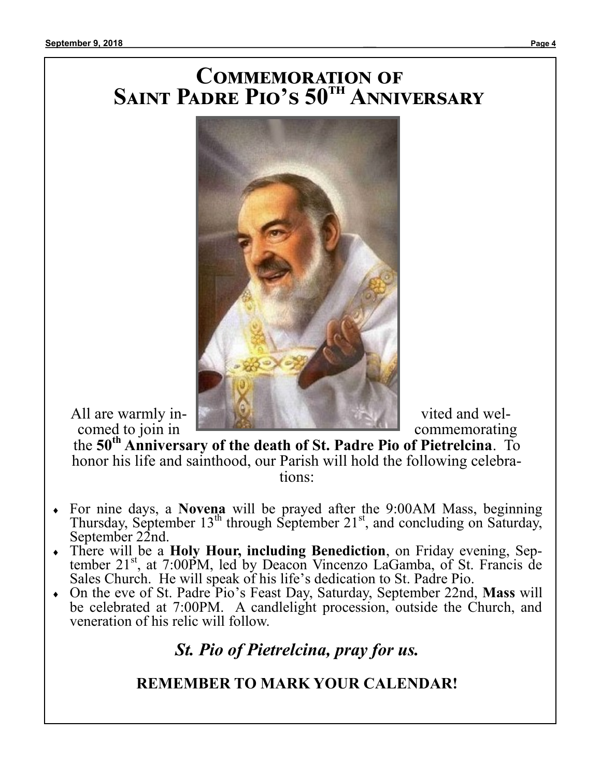## **Commemoration of Saint Padre Pio's 50th Anniversary**



the **50th Anniversary of the death of St. Padre Pio of Pietrelcina**. To honor his life and sainthood, our Parish will hold the following celebrations:

- For nine days, a **Novena** will be prayed after the 9:00AM Mass, beginning Thursday, September  $13<sup>th</sup>$  through September  $21<sup>st</sup>$ , and concluding on Saturday, September 22nd.
- There will be a **Holy Hour, including Benediction**, on Friday evening, September 21<sup>st</sup>, at 7:00PM, led by Deacon Vincenzo LaGamba, of St. Francis de Sales Church. He will speak of his life's dedication to St. Padre Pio.
- On the eve of St. Padre Pio's Feast Day, Saturday, September 22nd, **Mass** will be celebrated at 7:00PM. A candlelight procession, outside the Church, and veneration of his relic will follow.

*St. Pio of Pietrelcina, pray for us.*

## **REMEMBER TO MARK YOUR CALENDAR!**